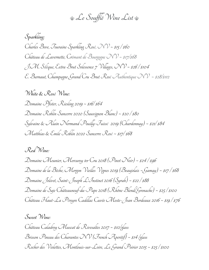$\triangle$ e Soufflé Wine List

**Sparkling:** Charles Bove, Touraine Sparkling Rosé, NV ~ \$15 / \$60 Château de Lavernette, Crémant de Bourgogne NV ~ \$17/\$68 J.M. Sélèque, Extra Brut Solessence 7 Villages, NV ~ \$26 / \$104  $\mathcal{E}.$  Barnaut, Champagne Grand Cru Brut Rosé Authentique NV ~ \$28/\$112

**White & Rosé Wine:** Domaine Pfister, Riesling 2019 ~ \$16/ \$64 Domaíne Roblín Sancerre 2020 (Sauvígnon Blanc) ~ \$20 / \$80 Sylvaine & Alain Normand Pouilly-Fuissé 2019 (Chardonnay) ~ \$21/ \$84 Matthias & Emile Roblin 2020 Sancerre Rosé ~ \$17/ \$68

**Red Wine:**

Domaine Meunier, Mercurey 1er Cru 2018 (Pinot Noir) ~ \$24/ \$96 Domaine de la Bêche, Morgon Vieilles Vignes 2019 (Beaujolais ~Gamay) ~ \$17 / \$68 Domaine Jolivet, Saint-Joseph L'Instinct 2016 (Syrah) ~ \$22 / \$88 Domaíne de Saje Châteauneuf-du-Pape 2018 (Rhône Blend/Grenache) ~ \$25 / \$100 Château Haut-La Péreyre Cadillac Cuvée Meste-Jean Bordeaux 2016 ~ \$19 / \$76

**Sweet Wine:** Château Caladroy Muscat de Rivesaltes 2017 ~ \$10/glass Brisson Pineau des Charantes NV (French Aperitif) ~ \$14 /glass Rocher des Violettes, Montlouis-sur-Loire, Le Grand Poirier 2015 ~ \$25 / \$100